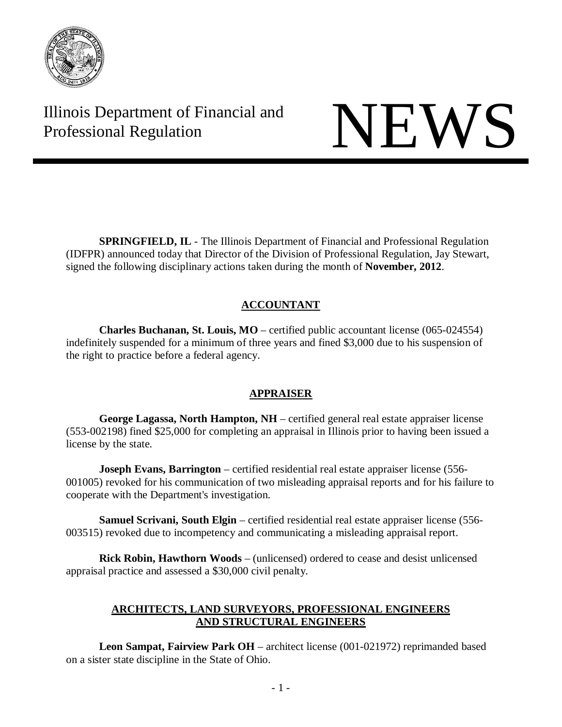

Illinois Department of Financial and Illinois Department of Financial and<br>Professional Regulation

**SPRINGFIELD, IL** - The Illinois Department of Financial and Professional Regulation (IDFPR) announced today that Director of the Division of Professional Regulation, Jay Stewart, signed the following disciplinary actions taken during the month of **November, 2012**.

# **ACCOUNTANT**

**Charles Buchanan, St. Louis, MO** – certified public accountant license (065-024554) indefinitely suspended for a minimum of three years and fined \$3,000 due to his suspension of the right to practice before a federal agency.

# **APPRAISER**

**George Lagassa, North Hampton, NH** – certified general real estate appraiser license (553-002198) fined \$25,000 for completing an appraisal in Illinois prior to having been issued a license by the state.

**Joseph Evans, Barrington** – certified residential real estate appraiser license (556-001005) revoked for his communication of two misleading appraisal reports and for his failure to cooperate with the Department's investigation.

**Samuel Scrivani, South Elgin** – certified residential real estate appraiser license (556- 003515) revoked due to incompetency and communicating a misleading appraisal report.

**Rick Robin, Hawthorn Woods** – (unlicensed) ordered to cease and desist unlicensed appraisal practice and assessed a \$30,000 civil penalty.

# **ARCHITECTS, LAND SURVEYORS, PROFESSIONAL ENGINEERS AND STRUCTURAL ENGINEERS**

**Leon Sampat, Fairview Park OH** – architect license (001-021972) reprimanded based on a sister state discipline in the State of Ohio.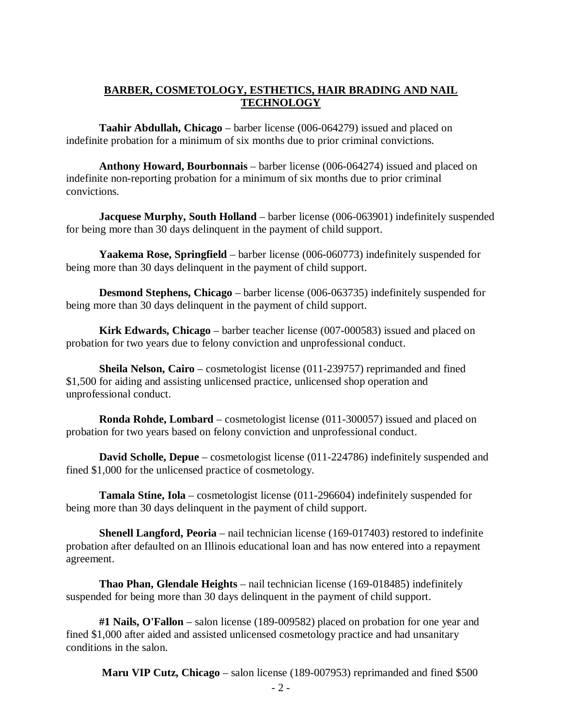# **BARBER, COSMETOLOGY, ESTHETICS, HAIR BRADING AND NAIL TECHNOLOGY**

**Taahir Abdullah, Chicago** – barber license (006-064279) issued and placed on indefinite probation for a minimum of six months due to prior criminal convictions.

**Anthony Howard, Bourbonnais** – barber license (006-064274) issued and placed on indefinite non-reporting probation for a minimum of six months due to prior criminal convictions.

**Jacquese Murphy, South Holland** – barber license (006-063901) indefinitely suspended for being more than 30 days delinquent in the payment of child support.

**Yaakema Rose, Springfield** – barber license (006-060773) indefinitely suspended for being more than 30 days delinquent in the payment of child support.

**Desmond Stephens, Chicago** – barber license (006-063735) indefinitely suspended for being more than 30 days delinquent in the payment of child support.

**Kirk Edwards, Chicago** – barber teacher license (007-000583) issued and placed on probation for two years due to felony conviction and unprofessional conduct.

**Sheila Nelson, Cairo** – cosmetologist license (011-239757) reprimanded and fined \$1,500 for aiding and assisting unlicensed practice, unlicensed shop operation and unprofessional conduct.

**Ronda Rohde, Lombard** – cosmetologist license (011-300057) issued and placed on probation for two years based on felony conviction and unprofessional conduct.

**David Scholle, Depue** – cosmetologist license (011-224786) indefinitely suspended and fined \$1,000 for the unlicensed practice of cosmetology.

**Tamala Stine, Iola** – cosmetologist license (011-296604) indefinitely suspended for being more than 30 days delinquent in the payment of child support.

**Shenell Langford, Peoria** – nail technician license (169-017403) restored to indefinite probation after defaulted on an Illinois educational loan and has now entered into a repayment agreement.

**Thao Phan, Glendale Heights** – nail technician license (169-018485) indefinitely suspended for being more than 30 days delinquent in the payment of child support.

**#1 Nails, O'Fallon** – salon license (189-009582) placed on probation for one year and fined \$1,000 after aided and assisted unlicensed cosmetology practice and had unsanitary conditions in the salon.

**Maru VIP Cutz, Chicago** – salon license (189-007953) reprimanded and fined \$500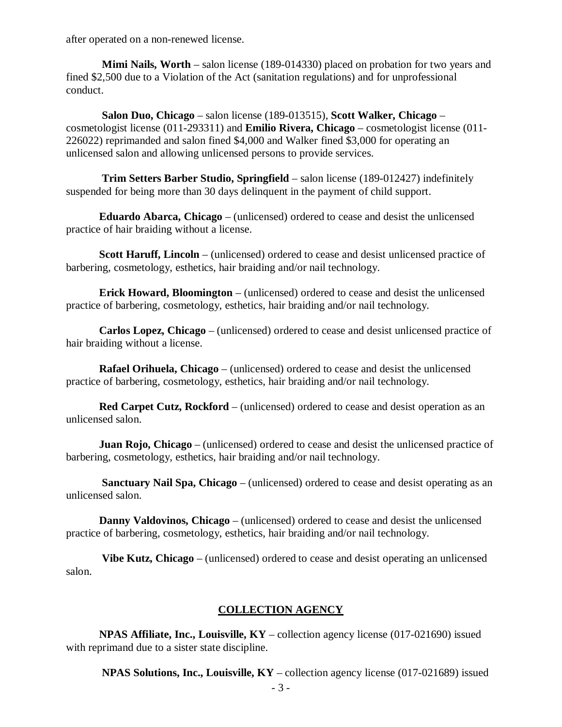after operated on a non-renewed license.

**Mimi Nails, Worth** – salon license (189-014330) placed on probation for two years and fined \$2,500 due to a Violation of the Act (sanitation regulations) and for unprofessional conduct.

**Salon Duo, Chicago** – salon license (189-013515), **Scott Walker, Chicago** – cosmetologist license (011-293311) and **Emilio Rivera, Chicago** – cosmetologist license (011- 226022) reprimanded and salon fined \$4,000 and Walker fined \$3,000 for operating an unlicensed salon and allowing unlicensed persons to provide services.

**Trim Setters Barber Studio, Springfield** – salon license (189-012427) indefinitely suspended for being more than 30 days delinquent in the payment of child support.

**Eduardo Abarca, Chicago** – (unlicensed) ordered to cease and desist the unlicensed practice of hair braiding without a license.

**Scott Haruff, Lincoln** – (unlicensed) ordered to cease and desist unlicensed practice of barbering, cosmetology, esthetics, hair braiding and/or nail technology.

**Erick Howard, Bloomington** – (unlicensed) ordered to cease and desist the unlicensed practice of barbering, cosmetology, esthetics, hair braiding and/or nail technology.

**Carlos Lopez, Chicago** – (unlicensed) ordered to cease and desist unlicensed practice of hair braiding without a license.

**Rafael Orihuela, Chicago** – (unlicensed) ordered to cease and desist the unlicensed practice of barbering, cosmetology, esthetics, hair braiding and/or nail technology.

**Red Carpet Cutz, Rockford** – (unlicensed) ordered to cease and desist operation as an unlicensed salon.

**Juan Rojo, Chicago** – (unlicensed) ordered to cease and desist the unlicensed practice of barbering, cosmetology, esthetics, hair braiding and/or nail technology.

**Sanctuary Nail Spa, Chicago** – (unlicensed) ordered to cease and desist operating as an unlicensed salon.

**Danny Valdovinos, Chicago** – (unlicensed) ordered to cease and desist the unlicensed practice of barbering, cosmetology, esthetics, hair braiding and/or nail technology.

**Vibe Kutz, Chicago** – (unlicensed) ordered to cease and desist operating an unlicensed salon.

# **COLLECTION AGENCY**

**NPAS Affiliate, Inc., Louisville, KY** – collection agency license (017-021690) issued with reprimand due to a sister state discipline.

**NPAS Solutions, Inc., Louisville, KY** – collection agency license (017-021689) issued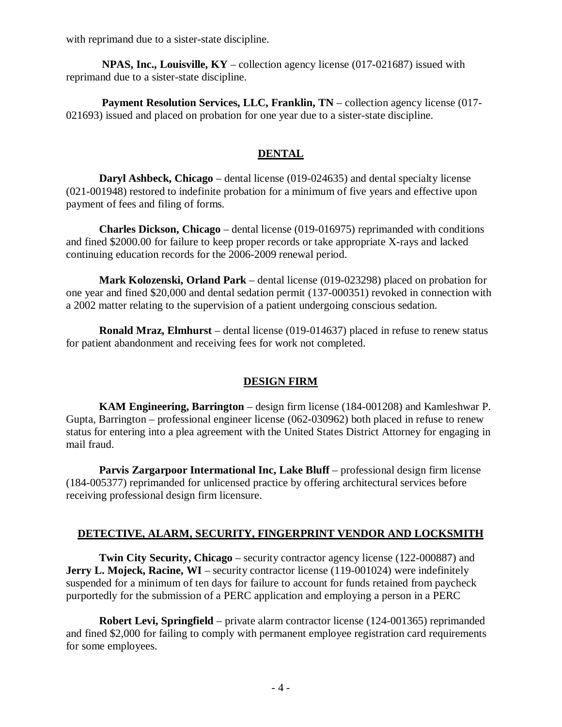with reprimand due to a sister-state discipline.

**NPAS, Inc., Louisville, KY** – collection agency license (017-021687) issued with reprimand due to a sister-state discipline.

**Payment Resolution Services, LLC, Franklin, TN** – collection agency license (017- 021693) issued and placed on probation for one year due to a sister-state discipline.

# **DENTAL**

**Daryl Ashbeck, Chicago** – dental license (019-024635) and dental specialty license (021-001948) restored to indefinite probation for a minimum of five years and effective upon payment of fees and filing of forms.

**Charles Dickson, Chicago** – dental license (019-016975) reprimanded with conditions and fined \$2000.00 for failure to keep proper records or take appropriate X-rays and lacked continuing education records for the 2006-2009 renewal period.

**Mark Kolozenski, Orland Park** – dental license (019-023298) placed on probation for one year and fined \$20,000 and dental sedation permit (137-000351) revoked in connection with a 2002 matter relating to the supervision of a patient undergoing conscious sedation.

**Ronald Mraz, Elmhurst** – dental license (019-014637) placed in refuse to renew status for patient abandonment and receiving fees for work not completed.

# **DESIGN FIRM**

**KAM Engineering, Barrington** – design firm license (184-001208) and Kamleshwar P. Gupta, Barrington – professional engineer license (062-030962) both placed in refuse to renew status for entering into a plea agreement with the United States District Attorney for engaging in mail fraud.

**Parvis Zargarpoor Intermational Inc, Lake Bluff** – professional design firm license (184-005377) reprimanded for unlicensed practice by offering architectural services before receiving professional design firm licensure.

# **DETECTIVE, ALARM, SECURITY, FINGERPRINT VENDOR AND LOCKSMITH**

**Twin City Security, Chicago** – security contractor agency license (122-000887) and **Jerry L. Mojeck, Racine, WI** – security contractor license (119-001024) were indefinitely suspended for a minimum of ten days for failure to account for funds retained from paycheck purportedly for the submission of a PERC application and employing a person in a PERC

**Robert Levi, Springfield** – private alarm contractor license (124-001365) reprimanded and fined \$2,000 for failing to comply with permanent employee registration card requirements for some employees.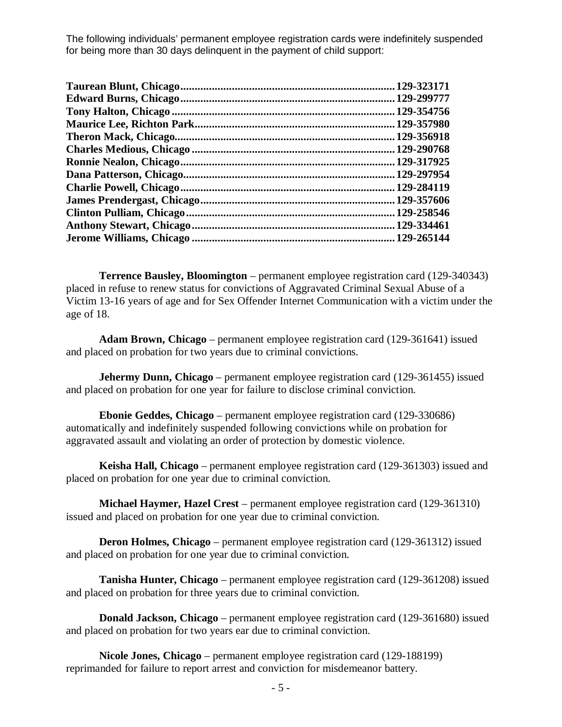The following individuals' permanent employee registration cards were indefinitely suspended for being more than 30 days delinquent in the payment of child support:

| 129-323171  |
|-------------|
| 129-299777  |
| 129-354756  |
| 129-357980  |
| 129-356918  |
| .129-290768 |
| 129-317925  |
| 129-297954  |
| 129-284119  |
| 129-357606  |
| 129-258546  |
| .129-334461 |
| 129-265144  |
|             |

**Terrence Bausley, Bloomington** – permanent employee registration card (129-340343) placed in refuse to renew status for convictions of Aggravated Criminal Sexual Abuse of a Victim 13-16 years of age and for Sex Offender Internet Communication with a victim under the age of 18.

**Adam Brown, Chicago** – permanent employee registration card (129-361641) issued and placed on probation for two years due to criminal convictions.

**Jehermy Dunn, Chicago** – permanent employee registration card (129-361455) issued and placed on probation for one year for failure to disclose criminal conviction.

**Ebonie Geddes, Chicago** – permanent employee registration card (129-330686) automatically and indefinitely suspended following convictions while on probation for aggravated assault and violating an order of protection by domestic violence.

**Keisha Hall, Chicago** – permanent employee registration card (129-361303) issued and placed on probation for one year due to criminal conviction.

**Michael Haymer, Hazel Crest** – permanent employee registration card (129-361310) issued and placed on probation for one year due to criminal conviction.

**Deron Holmes, Chicago** – permanent employee registration card (129-361312) issued and placed on probation for one year due to criminal conviction.

**Tanisha Hunter, Chicago** – permanent employee registration card (129-361208) issued and placed on probation for three years due to criminal conviction.

**Donald Jackson, Chicago** – permanent employee registration card (129-361680) issued and placed on probation for two years ear due to criminal conviction.

**Nicole Jones, Chicago** – permanent employee registration card (129-188199) reprimanded for failure to report arrest and conviction for misdemeanor battery.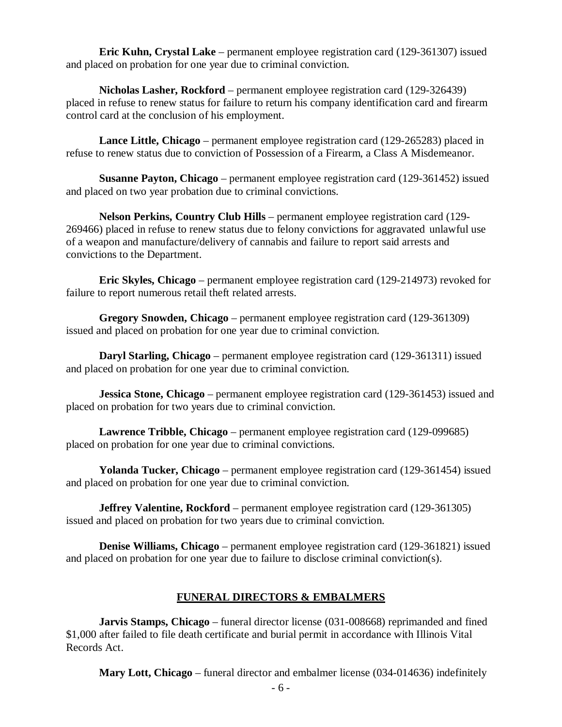**Eric Kuhn, Crystal Lake** – permanent employee registration card (129-361307) issued and placed on probation for one year due to criminal conviction.

**Nicholas Lasher, Rockford** – permanent employee registration card (129-326439) placed in refuse to renew status for failure to return his company identification card and firearm control card at the conclusion of his employment.

**Lance Little, Chicago** – permanent employee registration card (129-265283) placed in refuse to renew status due to conviction of Possession of a Firearm, a Class A Misdemeanor.

**Susanne Payton, Chicago** – permanent employee registration card (129-361452) issued and placed on two year probation due to criminal convictions.

**Nelson Perkins, Country Club Hills** – permanent employee registration card (129- 269466) placed in refuse to renew status due to felony convictions for aggravated unlawful use of a weapon and manufacture/delivery of cannabis and failure to report said arrests and convictions to the Department.

**Eric Skyles, Chicago** – permanent employee registration card (129-214973) revoked for failure to report numerous retail theft related arrests.

**Gregory Snowden, Chicago** – permanent employee registration card (129-361309) issued and placed on probation for one year due to criminal conviction.

**Daryl Starling, Chicago** – permanent employee registration card (129-361311) issued and placed on probation for one year due to criminal conviction.

**Jessica Stone, Chicago** – permanent employee registration card (129-361453) issued and placed on probation for two years due to criminal conviction.

**Lawrence Tribble, Chicago** – permanent employee registration card (129-099685) placed on probation for one year due to criminal convictions.

**Yolanda Tucker, Chicago** – permanent employee registration card (129-361454) issued and placed on probation for one year due to criminal conviction.

**Jeffrey Valentine, Rockford** – permanent employee registration card (129-361305) issued and placed on probation for two years due to criminal conviction.

**Denise Williams, Chicago** – permanent employee registration card (129-361821) issued and placed on probation for one year due to failure to disclose criminal conviction(s).

# **FUNERAL DIRECTORS & EMBALMERS**

**Jarvis Stamps, Chicago** – funeral director license (031-008668) reprimanded and fined \$1,000 after failed to file death certificate and burial permit in accordance with Illinois Vital Records Act.

**Mary Lott, Chicago** – funeral director and embalmer license (034-014636) indefinitely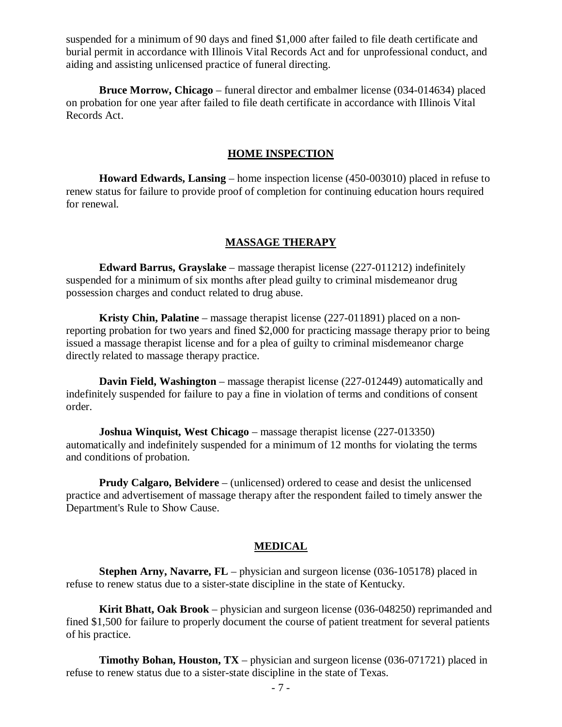suspended for a minimum of 90 days and fined \$1,000 after failed to file death certificate and burial permit in accordance with Illinois Vital Records Act and for unprofessional conduct, and aiding and assisting unlicensed practice of funeral directing.

**Bruce Morrow, Chicago** – funeral director and embalmer license (034-014634) placed on probation for one year after failed to file death certificate in accordance with Illinois Vital Records Act.

#### **HOME INSPECTION**

**Howard Edwards, Lansing** – home inspection license (450-003010) placed in refuse to renew status for failure to provide proof of completion for continuing education hours required for renewal.

### **MASSAGE THERAPY**

**Edward Barrus, Grayslake** – massage therapist license (227-011212) indefinitely suspended for a minimum of six months after plead guilty to criminal misdemeanor drug possession charges and conduct related to drug abuse.

**Kristy Chin, Palatine** – massage therapist license (227-011891) placed on a nonreporting probation for two years and fined \$2,000 for practicing massage therapy prior to being issued a massage therapist license and for a plea of guilty to criminal misdemeanor charge directly related to massage therapy practice.

**Davin Field, Washington** – massage therapist license (227-012449) automatically and indefinitely suspended for failure to pay a fine in violation of terms and conditions of consent order.

**Joshua Winquist, West Chicago** – massage therapist license (227-013350) automatically and indefinitely suspended for a minimum of 12 months for violating the terms and conditions of probation.

**Prudy Calgaro, Belvidere** – (unlicensed) ordered to cease and desist the unlicensed practice and advertisement of massage therapy after the respondent failed to timely answer the Department's Rule to Show Cause.

#### **MEDICAL**

**Stephen Arny, Navarre, FL** – physician and surgeon license (036-105178) placed in refuse to renew status due to a sister-state discipline in the state of Kentucky.

**Kirit Bhatt, Oak Brook** – physician and surgeon license (036-048250) reprimanded and fined \$1,500 for failure to properly document the course of patient treatment for several patients of his practice.

**Timothy Bohan, Houston, TX** – physician and surgeon license (036-071721) placed in refuse to renew status due to a sister-state discipline in the state of Texas.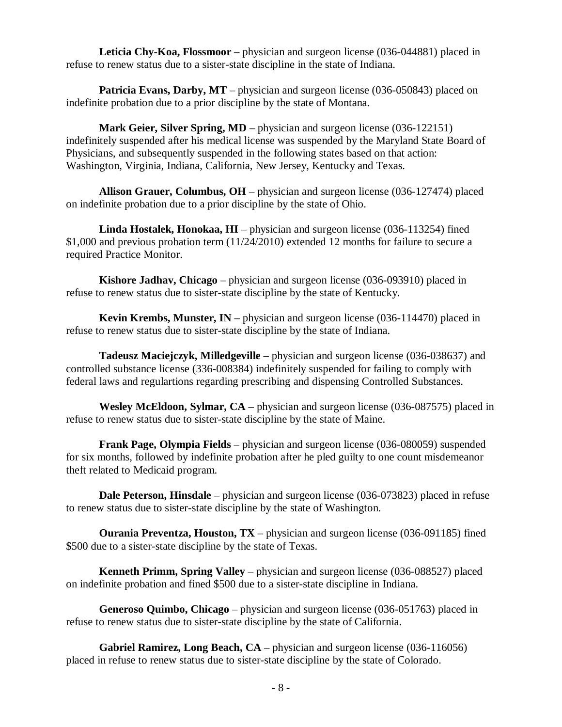**Leticia Chy-Koa, Flossmoor** – physician and surgeon license (036-044881) placed in refuse to renew status due to a sister-state discipline in the state of Indiana.

**Patricia Evans, Darby, MT** – physician and surgeon license (036-050843) placed on indefinite probation due to a prior discipline by the state of Montana.

**Mark Geier, Silver Spring, MD** – physician and surgeon license (036-122151) indefinitely suspended after his medical license was suspended by the Maryland State Board of Physicians, and subsequently suspended in the following states based on that action: Washington, Virginia, Indiana, California, New Jersey, Kentucky and Texas.

**Allison Grauer, Columbus, OH** – physician and surgeon license (036-127474) placed on indefinite probation due to a prior discipline by the state of Ohio.

**Linda Hostalek, Honokaa, HI** – physician and surgeon license (036-113254) fined \$1,000 and previous probation term (11/24/2010) extended 12 months for failure to secure a required Practice Monitor.

**Kishore Jadhav, Chicago** – physician and surgeon license (036-093910) placed in refuse to renew status due to sister-state discipline by the state of Kentucky.

**Kevin Krembs, Munster, IN** – physician and surgeon license (036-114470) placed in refuse to renew status due to sister-state discipline by the state of Indiana.

**Tadeusz Maciejczyk, Milledgeville** – physician and surgeon license (036-038637) and controlled substance license (336-008384) indefinitely suspended for failing to comply with federal laws and regulartions regarding prescribing and dispensing Controlled Substances.

**Wesley McEldoon, Sylmar, CA** – physician and surgeon license (036-087575) placed in refuse to renew status due to sister-state discipline by the state of Maine.

**Frank Page, Olympia Fields** – physician and surgeon license (036-080059) suspended for six months, followed by indefinite probation after he pled guilty to one count misdemeanor theft related to Medicaid program.

**Dale Peterson, Hinsdale** – physician and surgeon license (036-073823) placed in refuse to renew status due to sister-state discipline by the state of Washington.

**Ourania Preventza, Houston, TX** – physician and surgeon license (036-091185) fined \$500 due to a sister-state discipline by the state of Texas.

**Kenneth Primm, Spring Valley** – physician and surgeon license (036-088527) placed on indefinite probation and fined \$500 due to a sister-state discipline in Indiana.

**Generoso Quimbo, Chicago** – physician and surgeon license (036-051763) placed in refuse to renew status due to sister-state discipline by the state of California.

**Gabriel Ramirez, Long Beach, CA** – physician and surgeon license (036-116056) placed in refuse to renew status due to sister-state discipline by the state of Colorado.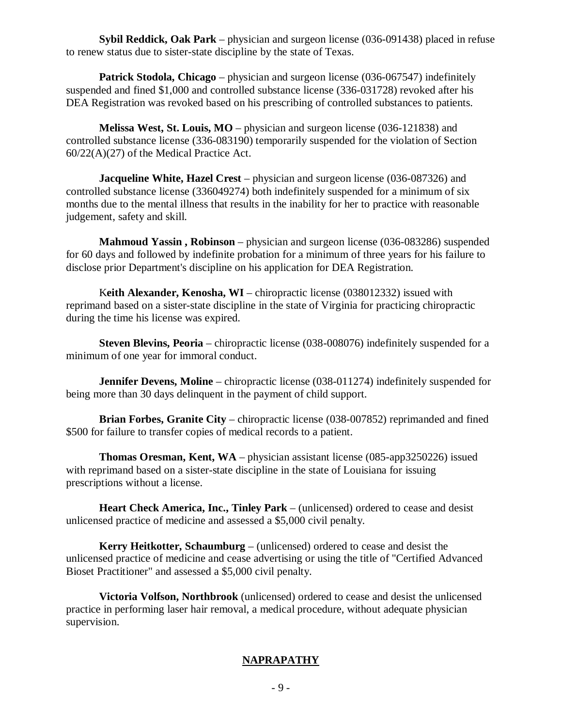**Sybil Reddick, Oak Park** – physician and surgeon license (036-091438) placed in refuse to renew status due to sister-state discipline by the state of Texas.

**Patrick Stodola, Chicago** – physician and surgeon license (036-067547) indefinitely suspended and fined \$1,000 and controlled substance license (336-031728) revoked after his DEA Registration was revoked based on his prescribing of controlled substances to patients.

**Melissa West, St. Louis, MO** – physician and surgeon license (036-121838) and controlled substance license (336-083190) temporarily suspended for the violation of Section 60/22(A)(27) of the Medical Practice Act.

**Jacqueline White, Hazel Crest** – physician and surgeon license (036-087326) and controlled substance license (336049274) both indefinitely suspended for a minimum of six months due to the mental illness that results in the inability for her to practice with reasonable judgement, safety and skill.

**Mahmoud Yassin , Robinson** – physician and surgeon license (036-083286) suspended for 60 days and followed by indefinite probation for a minimum of three years for his failure to disclose prior Department's discipline on his application for DEA Registration.

Keith Alexander, Kenosha, WI – chiropractic license (038012332) issued with reprimand based on a sister-state discipline in the state of Virginia for practicing chiropractic during the time his license was expired.

**Steven Blevins, Peoria** – chiropractic license (038-008076) indefinitely suspended for a minimum of one year for immoral conduct.

**Jennifer Devens, Moline** – chiropractic license (038-011274) indefinitely suspended for being more than 30 days delinquent in the payment of child support.

**Brian Forbes, Granite City** – chiropractic license (038-007852) reprimanded and fined \$500 for failure to transfer copies of medical records to a patient.

**Thomas Oresman, Kent, WA** – physician assistant license (085-app3250226) issued with reprimand based on a sister-state discipline in the state of Louisiana for issuing prescriptions without a license.

**Heart Check America, Inc., Tinley Park** – (unlicensed) ordered to cease and desist unlicensed practice of medicine and assessed a \$5,000 civil penalty.

**Kerry Heitkotter, Schaumburg** – (unlicensed) ordered to cease and desist the unlicensed practice of medicine and cease advertising or using the title of "Certified Advanced Bioset Practitioner" and assessed a \$5,000 civil penalty.

**Victoria Volfson, Northbrook** (unlicensed) ordered to cease and desist the unlicensed practice in performing laser hair removal, a medical procedure, without adequate physician supervision.

# **NAPRAPATHY**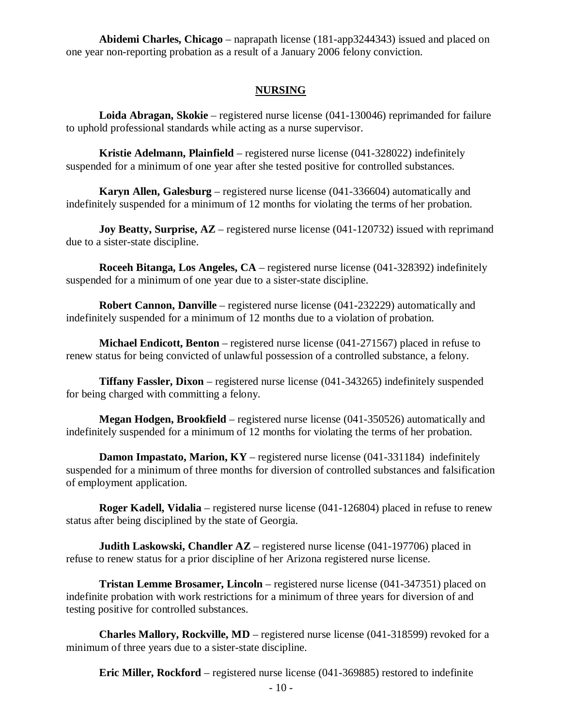**Abidemi Charles, Chicago** – naprapath license (181-app3244343) issued and placed on one year non-reporting probation as a result of a January 2006 felony conviction.

## **NURSING**

**Loida Abragan, Skokie** – registered nurse license (041-130046) reprimanded for failure to uphold professional standards while acting as a nurse supervisor.

**Kristie Adelmann, Plainfield** – registered nurse license (041-328022) indefinitely suspended for a minimum of one year after she tested positive for controlled substances.

**Karyn Allen, Galesburg** – registered nurse license (041-336604) automatically and indefinitely suspended for a minimum of 12 months for violating the terms of her probation.

**Joy Beatty, Surprise, AZ** – registered nurse license (041-120732) issued with reprimand due to a sister-state discipline.

**Roceeh Bitanga, Los Angeles, CA** – registered nurse license (041-328392) indefinitely suspended for a minimum of one year due to a sister-state discipline.

**Robert Cannon, Danville** – registered nurse license (041-232229) automatically and indefinitely suspended for a minimum of 12 months due to a violation of probation.

**Michael Endicott, Benton** – registered nurse license (041-271567) placed in refuse to renew status for being convicted of unlawful possession of a controlled substance, a felony.

**Tiffany Fassler, Dixon** – registered nurse license (041-343265) indefinitely suspended for being charged with committing a felony.

**Megan Hodgen, Brookfield** – registered nurse license (041-350526) automatically and indefinitely suspended for a minimum of 12 months for violating the terms of her probation.

**Damon Impastato, Marion, KY** – registered nurse license (041-331184) indefinitely suspended for a minimum of three months for diversion of controlled substances and falsification of employment application.

**Roger Kadell, Vidalia** – registered nurse license (041-126804) placed in refuse to renew status after being disciplined by the state of Georgia.

**Judith Laskowski, Chandler AZ** – registered nurse license (041-197706) placed in refuse to renew status for a prior discipline of her Arizona registered nurse license.

**Tristan Lemme Brosamer, Lincoln** – registered nurse license (041-347351) placed on indefinite probation with work restrictions for a minimum of three years for diversion of and testing positive for controlled substances.

**Charles Mallory, Rockville, MD** – registered nurse license (041-318599) revoked for a minimum of three years due to a sister-state discipline.

**Eric Miller, Rockford** – registered nurse license (041-369885) restored to indefinite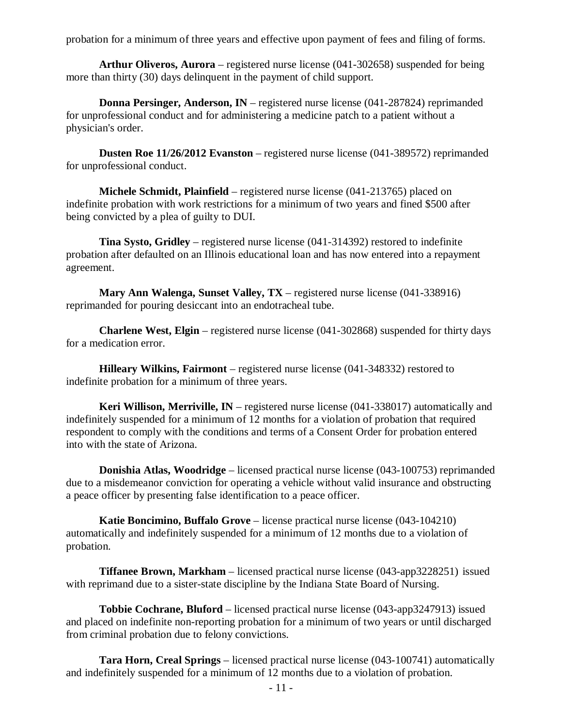probation for a minimum of three years and effective upon payment of fees and filing of forms.

**Arthur Oliveros, Aurora** – registered nurse license (041-302658) suspended for being more than thirty (30) days delinquent in the payment of child support.

**Donna Persinger, Anderson, IN** – registered nurse license (041-287824) reprimanded for unprofessional conduct and for administering a medicine patch to a patient without a physician's order.

**Dusten Roe 11/26/2012 Evanston** – registered nurse license (041-389572) reprimanded for unprofessional conduct.

**Michele Schmidt, Plainfield** – registered nurse license (041-213765) placed on indefinite probation with work restrictions for a minimum of two years and fined \$500 after being convicted by a plea of guilty to DUI.

**Tina Systo, Gridley** – registered nurse license (041-314392) restored to indefinite probation after defaulted on an Illinois educational loan and has now entered into a repayment agreement.

**Mary Ann Walenga, Sunset Valley, TX** – registered nurse license (041-338916) reprimanded for pouring desiccant into an endotracheal tube.

**Charlene West, Elgin** – registered nurse license (041-302868) suspended for thirty days for a medication error.

**Hilleary Wilkins, Fairmont** – registered nurse license (041-348332) restored to indefinite probation for a minimum of three years.

**Keri Willison, Merriville, IN** – registered nurse license (041-338017) automatically and indefinitely suspended for a minimum of 12 months for a violation of probation that required respondent to comply with the conditions and terms of a Consent Order for probation entered into with the state of Arizona.

**Donishia Atlas, Woodridge** – licensed practical nurse license (043-100753) reprimanded due to a misdemeanor conviction for operating a vehicle without valid insurance and obstructing a peace officer by presenting false identification to a peace officer.

**Katie Boncimino, Buffalo Grove** – license practical nurse license (043-104210) automatically and indefinitely suspended for a minimum of 12 months due to a violation of probation.

**Tiffanee Brown, Markham** – licensed practical nurse license (043-app3228251) issued with reprimand due to a sister-state discipline by the Indiana State Board of Nursing.

**Tobbie Cochrane, Bluford** – licensed practical nurse license (043-app3247913) issued and placed on indefinite non-reporting probation for a minimum of two years or until discharged from criminal probation due to felony convictions.

**Tara Horn, Creal Springs** – licensed practical nurse license (043-100741) automatically and indefinitely suspended for a minimum of 12 months due to a violation of probation.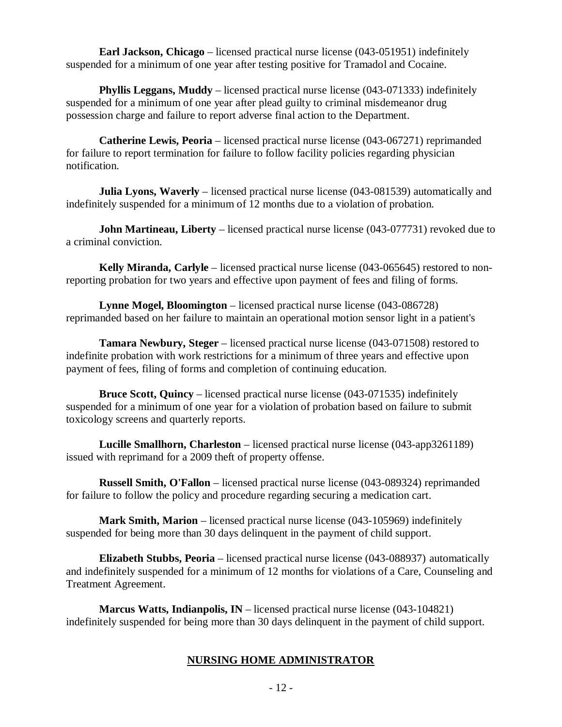**Earl Jackson, Chicago** – licensed practical nurse license (043-051951) indefinitely suspended for a minimum of one year after testing positive for Tramadol and Cocaine.

**Phyllis Leggans, Muddy** – licensed practical nurse license (043-071333) indefinitely suspended for a minimum of one year after plead guilty to criminal misdemeanor drug possession charge and failure to report adverse final action to the Department.

**Catherine Lewis, Peoria** – licensed practical nurse license (043-067271) reprimanded for failure to report termination for failure to follow facility policies regarding physician notification.

**Julia Lyons, Waverly** – licensed practical nurse license (043-081539) automatically and indefinitely suspended for a minimum of 12 months due to a violation of probation.

**John Martineau, Liberty** – licensed practical nurse license (043-077731) revoked due to a criminal conviction.

**Kelly Miranda, Carlyle** – licensed practical nurse license (043-065645) restored to nonreporting probation for two years and effective upon payment of fees and filing of forms.

**Lynne Mogel, Bloomington** – licensed practical nurse license (043-086728) reprimanded based on her failure to maintain an operational motion sensor light in a patient's

**Tamara Newbury, Steger** – licensed practical nurse license (043-071508) restored to indefinite probation with work restrictions for a minimum of three years and effective upon payment of fees, filing of forms and completion of continuing education.

**Bruce Scott, Quincy** – licensed practical nurse license (043-071535) indefinitely suspended for a minimum of one year for a violation of probation based on failure to submit toxicology screens and quarterly reports.

**Lucille Smallhorn, Charleston** – licensed practical nurse license (043-app3261189) issued with reprimand for a 2009 theft of property offense.

**Russell Smith, O'Fallon** – licensed practical nurse license (043-089324) reprimanded for failure to follow the policy and procedure regarding securing a medication cart.

**Mark Smith, Marion** – licensed practical nurse license (043-105969) indefinitely suspended for being more than 30 days delinquent in the payment of child support.

**Elizabeth Stubbs, Peoria** – licensed practical nurse license (043-088937) automatically and indefinitely suspended for a minimum of 12 months for violations of a Care, Counseling and Treatment Agreement.

**Marcus Watts, Indianpolis, IN** – licensed practical nurse license (043-104821) indefinitely suspended for being more than 30 days delinquent in the payment of child support.

# **NURSING HOME ADMINISTRATOR**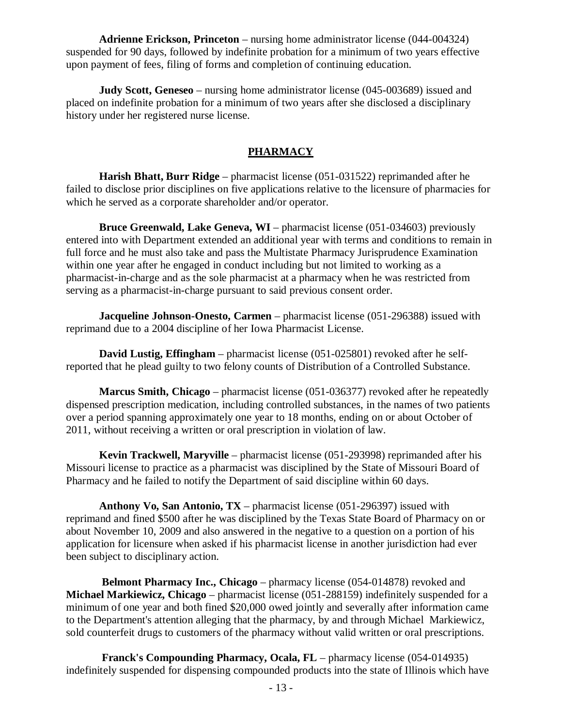**Adrienne Erickson, Princeton** – nursing home administrator license (044-004324) suspended for 90 days, followed by indefinite probation for a minimum of two years effective upon payment of fees, filing of forms and completion of continuing education.

**Judy Scott, Geneseo** – nursing home administrator license (045-003689) issued and placed on indefinite probation for a minimum of two years after she disclosed a disciplinary history under her registered nurse license.

# **PHARMACY**

**Harish Bhatt, Burr Ridge** – pharmacist license (051-031522) reprimanded after he failed to disclose prior disciplines on five applications relative to the licensure of pharmacies for which he served as a corporate shareholder and/or operator.

**Bruce Greenwald, Lake Geneva, WI** – pharmacist license (051-034603) previously entered into with Department extended an additional year with terms and conditions to remain in full force and he must also take and pass the Multistate Pharmacy Jurisprudence Examination within one year after he engaged in conduct including but not limited to working as a pharmacist-in-charge and as the sole pharmacist at a pharmacy when he was restricted from serving as a pharmacist-in-charge pursuant to said previous consent order.

**Jacqueline Johnson-Onesto, Carmen** – pharmacist license (051-296388) issued with reprimand due to a 2004 discipline of her Iowa Pharmacist License.

**David Lustig, Effingham** – pharmacist license (051-025801) revoked after he selfreported that he plead guilty to two felony counts of Distribution of a Controlled Substance.

**Marcus Smith, Chicago** – pharmacist license (051-036377) revoked after he repeatedly dispensed prescription medication, including controlled substances, in the names of two patients over a period spanning approximately one year to 18 months, ending on or about October of 2011, without receiving a written or oral prescription in violation of law.

**Kevin Trackwell, Maryville** – pharmacist license (051-293998) reprimanded after his Missouri license to practice as a pharmacist was disciplined by the State of Missouri Board of Pharmacy and he failed to notify the Department of said discipline within 60 days.

**Anthony Vo, San Antonio, TX** – pharmacist license (051-296397) issued with reprimand and fined \$500 after he was disciplined by the Texas State Board of Pharmacy on or about November 10, 2009 and also answered in the negative to a question on a portion of his application for licensure when asked if his pharmacist license in another jurisdiction had ever been subject to disciplinary action.

**Belmont Pharmacy Inc., Chicago** – pharmacy license (054-014878) revoked and **Michael Markiewicz, Chicago** – pharmacist license (051-288159) indefinitely suspended for a minimum of one year and both fined \$20,000 owed jointly and severally after information came to the Department's attention alleging that the pharmacy, by and through Michael Markiewicz, sold counterfeit drugs to customers of the pharmacy without valid written or oral prescriptions.

**Franck's Compounding Pharmacy, Ocala, FL** – pharmacy license (054-014935) indefinitely suspended for dispensing compounded products into the state of Illinois which have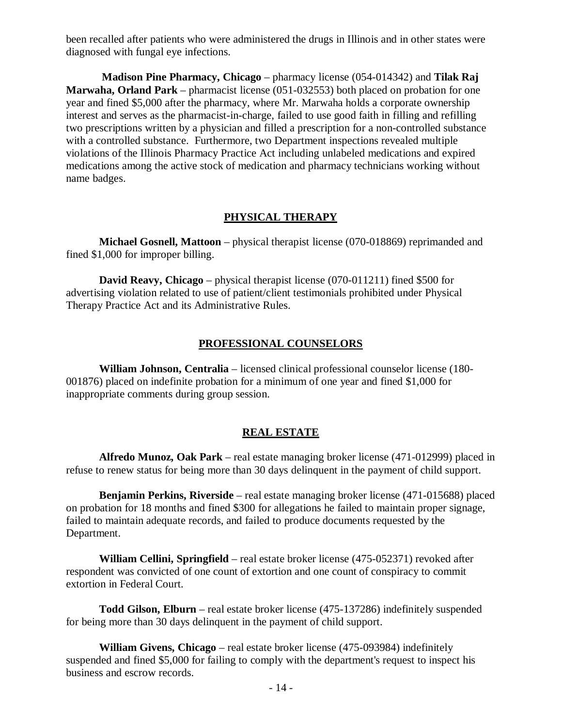been recalled after patients who were administered the drugs in Illinois and in other states were diagnosed with fungal eye infections.

**Madison Pine Pharmacy, Chicago** – pharmacy license (054-014342) and **Tilak Raj Marwaha, Orland Park** – pharmacist license (051-032553) both placed on probation for one year and fined \$5,000 after the pharmacy, where Mr. Marwaha holds a corporate ownership interest and serves as the pharmacist-in-charge, failed to use good faith in filling and refilling two prescriptions written by a physician and filled a prescription for a non-controlled substance with a controlled substance. Furthermore, two Department inspections revealed multiple violations of the Illinois Pharmacy Practice Act including unlabeled medications and expired medications among the active stock of medication and pharmacy technicians working without name badges.

## **PHYSICAL THERAPY**

**Michael Gosnell, Mattoon** – physical therapist license (070-018869) reprimanded and fined \$1,000 for improper billing.

**David Reavy, Chicago** – physical therapist license (070-011211) fined \$500 for advertising violation related to use of patient/client testimonials prohibited under Physical Therapy Practice Act and its Administrative Rules.

## **PROFESSIONAL COUNSELORS**

**William Johnson, Centralia** – licensed clinical professional counselor license (180- 001876) placed on indefinite probation for a minimum of one year and fined \$1,000 for inappropriate comments during group session.

### **REAL ESTATE**

**Alfredo Munoz, Oak Park** – real estate managing broker license (471-012999) placed in refuse to renew status for being more than 30 days delinquent in the payment of child support.

**Benjamin Perkins, Riverside** – real estate managing broker license (471-015688) placed on probation for 18 months and fined \$300 for allegations he failed to maintain proper signage, failed to maintain adequate records, and failed to produce documents requested by the Department.

**William Cellini, Springfield** – real estate broker license (475-052371) revoked after respondent was convicted of one count of extortion and one count of conspiracy to commit extortion in Federal Court.

**Todd Gilson, Elburn** – real estate broker license (475-137286) indefinitely suspended for being more than 30 days delinquent in the payment of child support.

**William Givens, Chicago** – real estate broker license (475-093984) indefinitely suspended and fined \$5,000 for failing to comply with the department's request to inspect his business and escrow records.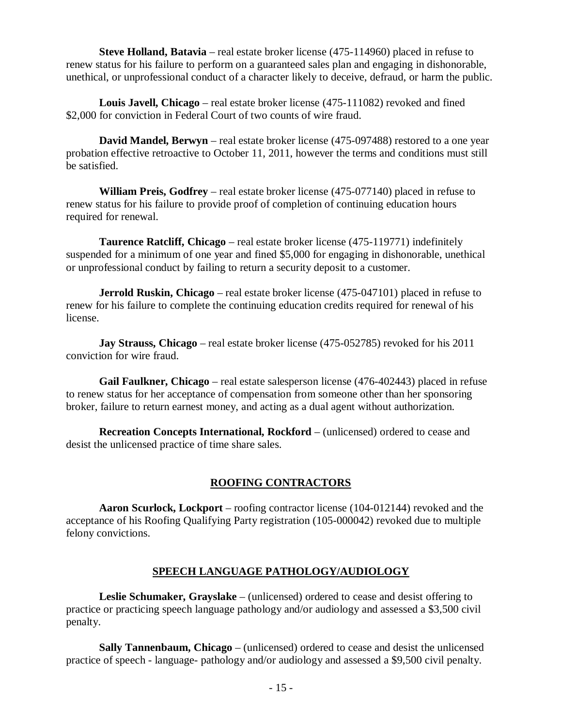**Steve Holland, Batavia** – real estate broker license (475-114960) placed in refuse to renew status for his failure to perform on a guaranteed sales plan and engaging in dishonorable, unethical, or unprofessional conduct of a character likely to deceive, defraud, or harm the public.

**Louis Javell, Chicago** – real estate broker license (475-111082) revoked and fined \$2,000 for conviction in Federal Court of two counts of wire fraud.

**David Mandel, Berwyn** – real estate broker license (475-097488) restored to a one year probation effective retroactive to October 11, 2011, however the terms and conditions must still be satisfied.

**William Preis, Godfrey** – real estate broker license (475-077140) placed in refuse to renew status for his failure to provide proof of completion of continuing education hours required for renewal.

**Taurence Ratcliff, Chicago** – real estate broker license (475-119771) indefinitely suspended for a minimum of one year and fined \$5,000 for engaging in dishonorable, unethical or unprofessional conduct by failing to return a security deposit to a customer.

**Jerrold Ruskin, Chicago** – real estate broker license (475-047101) placed in refuse to renew for his failure to complete the continuing education credits required for renewal of his license.

**Jay Strauss, Chicago** – real estate broker license (475-052785) revoked for his 2011 conviction for wire fraud.

**Gail Faulkner, Chicago** – real estate salesperson license (476-402443) placed in refuse to renew status for her acceptance of compensation from someone other than her sponsoring broker, failure to return earnest money, and acting as a dual agent without authorization.

**Recreation Concepts International, Rockford** – (unlicensed) ordered to cease and desist the unlicensed practice of time share sales.

# **ROOFING CONTRACTORS**

**Aaron Scurlock, Lockport** – roofing contractor license (104-012144) revoked and the acceptance of his Roofing Qualifying Party registration (105-000042) revoked due to multiple felony convictions.

# **SPEECH LANGUAGE PATHOLOGY/AUDIOLOGY**

**Leslie Schumaker, Grayslake** – (unlicensed) ordered to cease and desist offering to practice or practicing speech language pathology and/or audiology and assessed a \$3,500 civil penalty.

**Sally Tannenbaum, Chicago** – (unlicensed) ordered to cease and desist the unlicensed practice of speech - language- pathology and/or audiology and assessed a \$9,500 civil penalty.